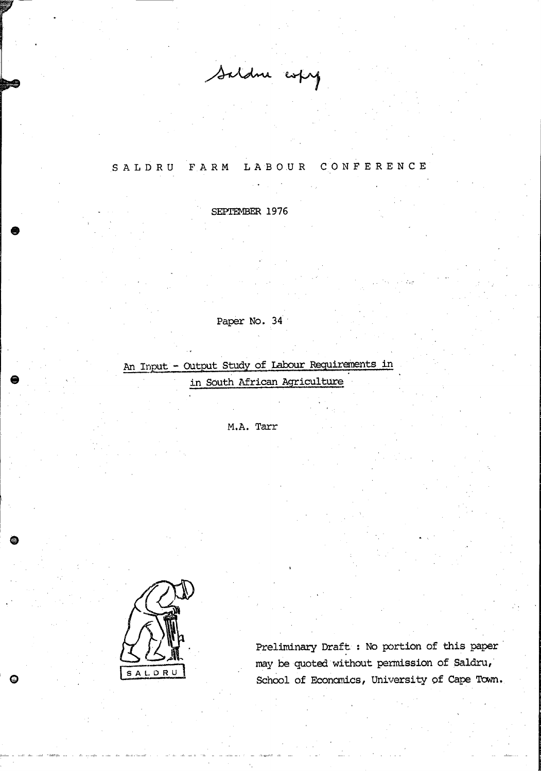Saldne expy

# SALDRU FARM LABOUR CONFERENCE

SEPTEMBER 1976

# Paper No. 34

An Input - Output Study of Labour Requirements in

in South African Agriculture

M.A. Tarr



Q

Preliminary Draft : No portion of this paper may be quoted without permission of Saldru, School of Economics, University of Cape Town.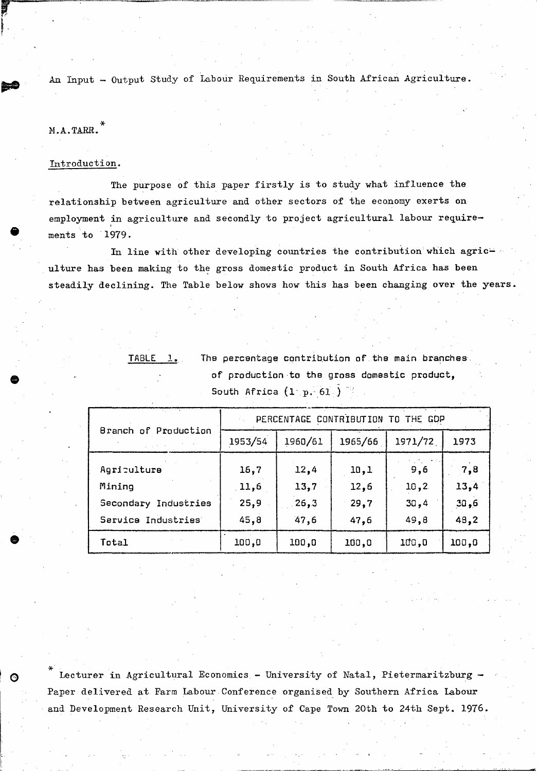An Input - Output Study of Labour Requirements in South African Agriculture.

## M.A.TARR.

•

**•** 

 $\bullet$ 

## Introduction.

The purpose of this paper firstly is to study what influence the relationship between agriculture and other sectors of the economy exerts on employment in agriculture and secondly to project agricultural labour requirements to 1979.

In line with other developing countries the contribution which agriculture has been making to the gross domestic product in South Africa has been steadily declining. The Table below shows how this has been changing over the years.

| <u>TABLE 1.</u> | The percentage contribution of the main branches. |
|-----------------|---------------------------------------------------|
|                 | of production to the gross domestic product,      |
|                 | South Africa $(1 \ p. 61)$                        |

|                      | PERCENTAGE CONTRIBUTION<br>T <sub>0</sub><br>THE GDP |         |         |         |       |  |  |
|----------------------|------------------------------------------------------|---------|---------|---------|-------|--|--|
| Branch of Production | 1953/54                                              | 1960/61 | 1965/66 | 1971/72 | 1973  |  |  |
| Agriculture          | 16,7                                                 | 12,4    | 10,1    | 9,6     | 7,8   |  |  |
| Mining               | 11,6                                                 | 13,7    | 12,6    | 10, 2   | 13,4  |  |  |
| Secondary Industries | 25,9                                                 | 26,3    | 29,7    | 30,4    | 30,6  |  |  |
| Service Industries   | 45,8                                                 | 47,6    | 47,6    | 49,8    | 48,2  |  |  |
| Total                | 100,0                                                | 100,0   | 100.0   | 100,0   | 100,0 |  |  |

\* Lecturer in Agricultural Economics - University of Natal, Pietermaritzburg -Paper delivered at Farm Labour Conference organised by Southern Africa Labour and Development Research Unit, University of Cape Town 20th to 24th Sept. 1976.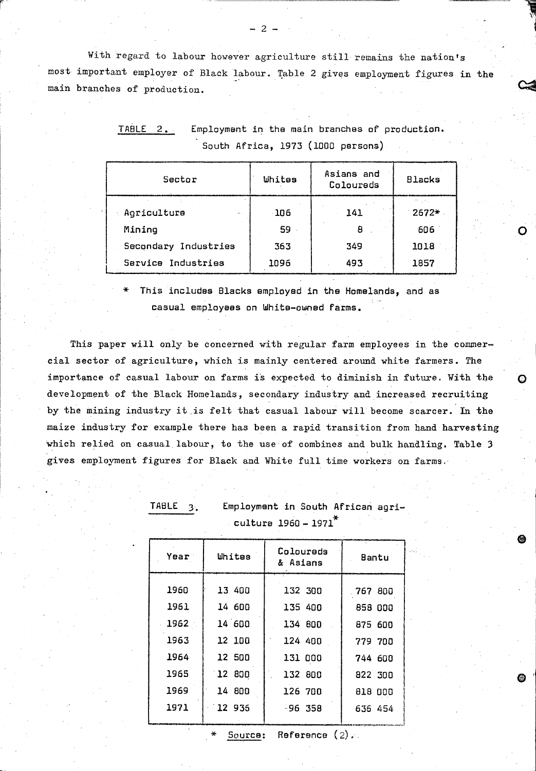With regard to labour however agriculture still remains the nation's most important employer of Black labour. Table 2 gives employment figures in the main branches of production.

| Sector                                    | Whites | Asians and<br>Coloureds | <b>Blacks</b> |
|-------------------------------------------|--------|-------------------------|---------------|
| Agriculture<br>$\mathcal{M}(\mathcal{A})$ | -106   | 141                     | $2672*$       |
| Mining                                    | 59     | 8                       | 606           |
| Secondary Industries                      | 363    | 349                     | 1018          |
| Service Industries                        | 1096   | 493                     | 1857          |

TABLE 2. Employment in the main branches of production. South Africa, 1973 (1000 persons)

This includes Blacks employed in the Homelands, and as casual employees on White-owned farms.

This paper will only be concerned with regular farm employees in the commercial sector of agriculture, which is mainly centered around white farmers. The importance of casual labour on farms is expected to diminish in future. With the development of the Black Homelands, secondary industry and increased recruiting by the mining industry it is felt that casual labour will become scarcer. In the maize industry for example there has been a rapid transition from hand harvesting which relied on casual labour, to the use of combines and bulk handling. Table 3 gives employment figures for Black and White full time workers on farms.

| Year | Whites | Colourads<br>& Asians | Bantu   |  |  |  |  |  |  |  |
|------|--------|-----------------------|---------|--|--|--|--|--|--|--|
| 1960 | 13 400 | 132 300               | 767 800 |  |  |  |  |  |  |  |
| 1961 | 14 600 | 135 400               | 858 000 |  |  |  |  |  |  |  |
| 1962 | 14 600 | 134 800               | 875 600 |  |  |  |  |  |  |  |
| 1963 | 12 100 | 124 400               | 779 700 |  |  |  |  |  |  |  |
| 1964 | 12 500 | 131 000               | 744 600 |  |  |  |  |  |  |  |
| 1965 | 12 800 | 132 800               | 822 300 |  |  |  |  |  |  |  |
| 1969 | 14 800 | 126 700               | 818 000 |  |  |  |  |  |  |  |
| 1971 | 12 936 | -96 358               | 636 454 |  |  |  |  |  |  |  |
|      |        |                       |         |  |  |  |  |  |  |  |

**TABLE**  $3.$ 

Employment in South African agri- $\frac{1}{2}$ cultura 1960 - 1971<sup>\*</sup>

 $\Omega$ 

Source: Reference  $(2)$ .

 $2 -$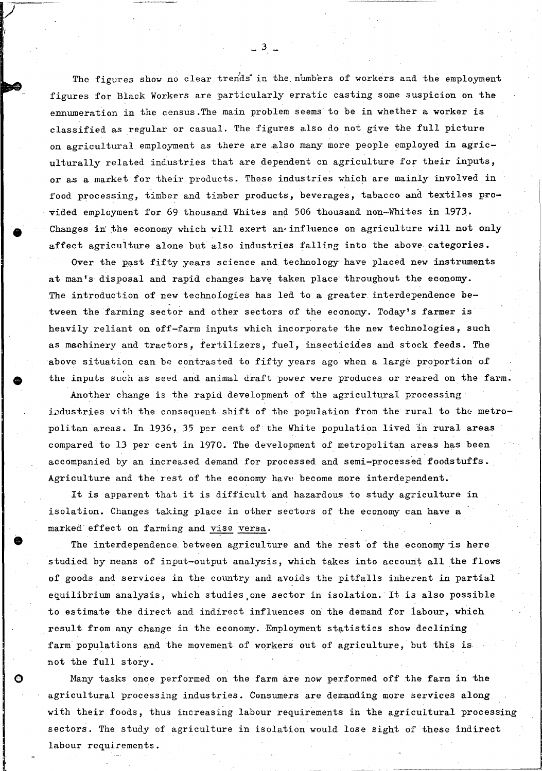The figures show no clear trends in the numbers of workers and the employment figures for Black Workers are particularly erratic casting some suspicion on the ennumeration in the census.The main problem seems to be in whether a worker is classified as regular or casual. The figures also do not give the full picture on agricultural employment as there are also many more people employed in agriculturally related industries that are dependent on agriculture for their inputs, or as a market for their products. These industries which are mainly involved in food processing, timber and timber products, beverages, tabacco and textiles provided employment for 69 thousand Whites and 506 thousand non-Whites in 1973. Changes in the economy which will exert an influence on agriculture will not only affect agriculture alone but also industries falling into the above categories.

Over the past fifty years science and technology have placed new instruments at man's disposal and rapid changes have taken place throughout the economy. The introduction of new technologies has led to a greater interdependence between the farming sector and other sectors of the economy. Today's farmer is heavily reliant on off-farm inputs which incorporate the new technologies, such as machinery and tractors, fertilizers, fuel, insecticides and stock feeds. The above situation can be contrasted to fifty years ago when a large proportion of the inputs such as seed and animal draft power were produces or reared on the farm.

Another change is the rapid development of the agricultural processing industries with the consequent shift of the population from the rural to the metropolitan areas. In 1936, 35 per cent of the White population lived in rural areas compared to 13 per cent in 1970. The development of metropolitan areas has been accompanied by an increased demand for processed and semi-processed foodstuffs. Agriculture and the rest of the economy have become more interdependent.

It is apparent that it is difficult and hazardous to study agriculture in isolation. Changes taking place in other sectors of the economy can have a marked effect on farming and vise versa.

•

o

The interdependence between agriculture and the rest of the economy is here studied by means of input-output analysis, which takes into account all the flows of goods and services in the country and avoids the pitfalls inherent in partial equilibrium analysis, which studies one sector in isolation. It is also possible to estimate the direct and indirect influences on the demand for labour, which result from any change in the economy. Employment statistics show declining farm populations and the movement of workers out of agriculture, but this is not the full story.

Many tasks once performed on the farm are now performed off the farm in the agricultural processing industries. Consumers are demanding more services along with their foods, thus increasing labour requirements in the agricultural processing sectors. The study of agriculture in isolation would lose sight of these indirect labour requirements.

 $-3$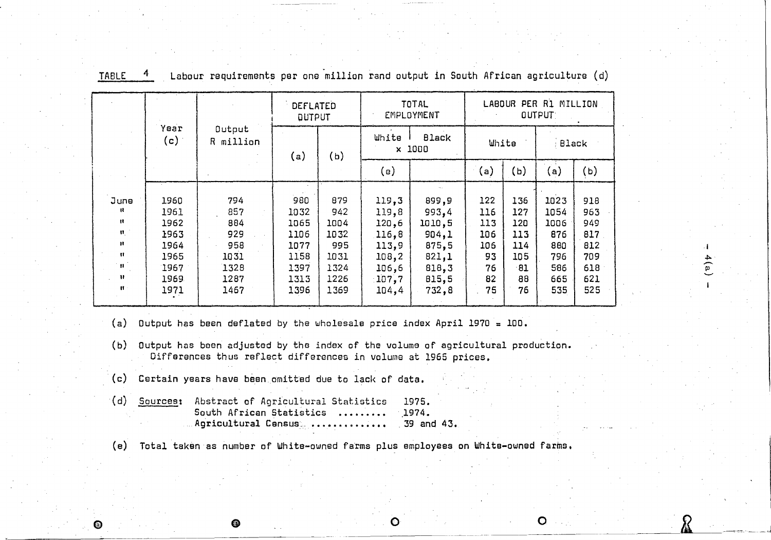|                                                                                                     |                                                                      |                                                                 | DEFLATED<br><b>QUTPUT</b>                                           |                                                                   |                                                                                | <b>TOTAL</b><br>EMPLOYMENT                                                     |                                                         |                                                           | LABOUR PER R1 MILLION<br>OUTPUT:                               |                                                             |
|-----------------------------------------------------------------------------------------------------|----------------------------------------------------------------------|-----------------------------------------------------------------|---------------------------------------------------------------------|-------------------------------------------------------------------|--------------------------------------------------------------------------------|--------------------------------------------------------------------------------|---------------------------------------------------------|-----------------------------------------------------------|----------------------------------------------------------------|-------------------------------------------------------------|
|                                                                                                     | Year<br>(c)                                                          | Output<br>R million                                             | (a)                                                                 | (b)                                                               | White<br><b>Black</b><br>1000<br>$\mathbf{x}$                                  |                                                                                | White                                                   |                                                           | Black                                                          |                                                             |
|                                                                                                     |                                                                      |                                                                 |                                                                     |                                                                   | (e)                                                                            |                                                                                | $\sf(a)$                                                | (ь)                                                       | (a)                                                            | (ь)                                                         |
| June<br>-11<br>$\mathbf{H}$<br>$\mathbf{H}_1$<br>Ħ<br>$\mathbf{H}$<br>ำ 11 -<br>Ħ<br>$\mathbf{B}$ : | 1960<br>1961<br>1962<br>1963<br>1964<br>1965<br>1967<br>1969<br>1971 | 794<br>857<br>884<br>929<br>958<br>1031<br>1328<br>1287<br>1467 | 980<br>1032<br>1065<br>1106<br>1077<br>1158<br>1397<br>1313<br>1396 | 879<br>942<br>1004<br>1032<br>995<br>1031<br>1324<br>1226<br>1369 | 119,3<br>119,8<br>120,6<br>116,8<br>113,9<br>108, 2<br>106,6<br>107,7<br>104,4 | 899,9<br>993,4<br>1010,5<br>904,1<br>875,5<br>821,1<br>818,3<br>815,5<br>732,8 | 122<br>116<br>113<br>106<br>106<br>93<br>76<br>82<br>75 | 136<br>127<br>120<br>113<br>114<br>105<br>-81<br>88<br>76 | 1023<br>1054<br>1006<br>876<br>880<br>796<br>586<br>665<br>535 | 918<br>963<br>949<br>817<br>812<br>709<br>618<br>621<br>525 |

I ~ ~

Xi -~J

TABLE 4 Labour requirements per one million rand output in South African agriculture (d)

- (a) Output has been deflated by the wholesale price index April 1970  $= 100$ .
- (b) Output has been adjusted by the index of the volume of agricultural production. Differences thus reflect differences in volume at 1965 prices.
- (c) Certain years have been omitted due to lack of data.
- (d) Sources: Abstract of Agricultural Statistics South African Statistics ........ Agricultural Census .............. 1975. 1974. \_ 39 and 43.

(e) Total taken as number of White-owned farms plus employees on White-owned farms.

 $\bullet$  o o o o o o o

G)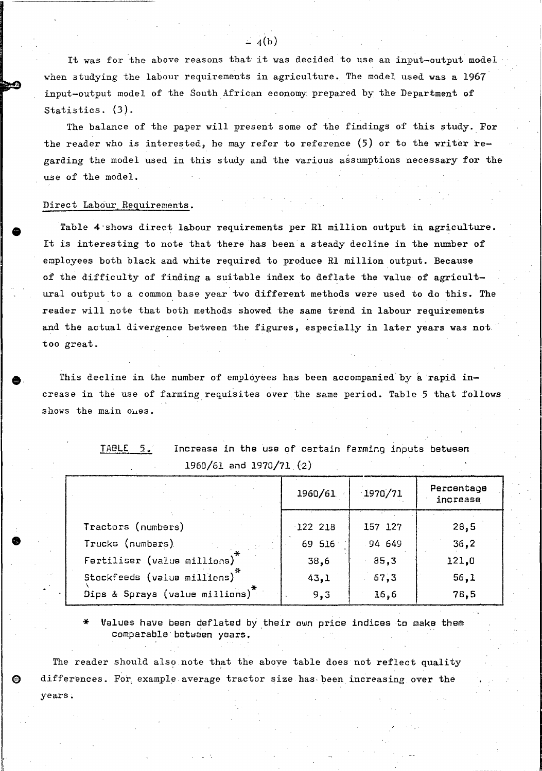It was for the above reasons that it was decided to use an input-output model when studying the labour requirements in agriculture. The model used was a 1967 input-output model of the South African economy prepared by the Department of Statistics. (3).

The balance of the paper will present some of the findings of this study. For the reader who is interested, he may refer to reference (5) or to the writer regarding the model used in this study and the various assumptions necessary for the use of the model.

### Direct Labour. Requirements.

•

Table 4'shows direct labour requirements per Rl million output in agriculture. It is interesting to note that there has been a steady decline in the number of employees both black and white required to produce Rl million output. Because of the difficulty of finding a suitable index to deflate the value of agricultural output to a common base year two different methods were used to do this. The reader will note that both methods showed the same trend in labour requirements and the actual divergence between the figures, especially in later years was not too great.

This decline in the number of employees has been accompanied by a rapid increase in the use of farming requisites over.the same period. Table 5 that follows shows the main ones.

| $1500f$ of and $15f0f$ $1.$ $f2f$           |           |            |                        |
|---------------------------------------------|-----------|------------|------------------------|
|                                             | 1960/61   | $-1970/71$ | Percentage<br>increase |
|                                             |           |            |                        |
| Tractors (numbers)                          | $122$ 218 | 157 127    | 28,5                   |
| Trucks (numbers)                            | 69 516    | 94 649     | 36, 2                  |
| Fertiliser (value millions)                 | 38,6      | 85,3       | 121,0                  |
| Stockfeeds (value millions)                 | 43,1      | 67,3       | 56,1                   |
| Dips & Sprays (value millions) <sup>*</sup> | 9,3       | 16,6       | 78,5                   |

TABLE 5. Increase in the use of certain farming inputs between 1960/61 and 1970/71 (2)

Values have been deflated by their own price indices to make them comparable between years. .

The reader should also note that the above table does not reflect quality €) differences. For, example average tractor size has, been increasing. over the years.

 $-4(b)$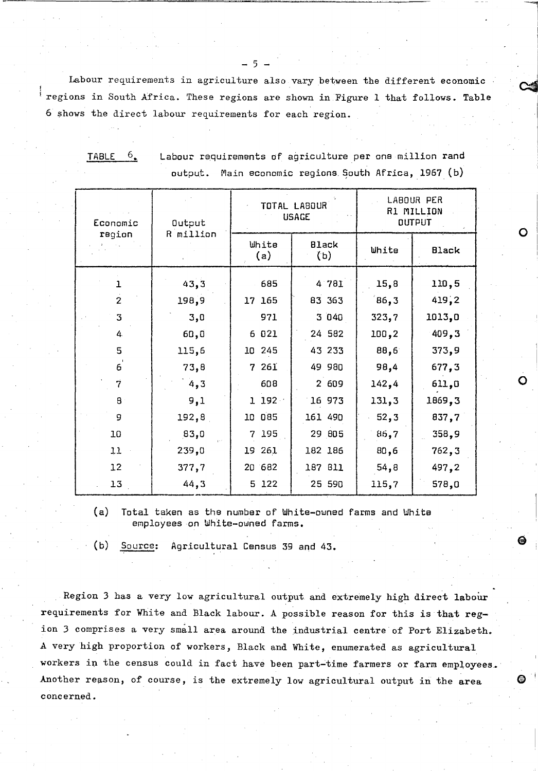Labour requirements in agriculture also vary between the different economic ! {regions in South Africa. These regions are shown in Figure 1 that follows. Table 6 shows the direct labour requirements for each region.

- 5 -

TABLE  $6$ . Labour requirements of agriculture per one million rand  $output.$  Main economic regions South Africa, 1967 (b)

| Economic       | Output    |              | TOTAL LABOUR<br><b>USAGE</b> | LABOUR PER<br>R1 MILLION<br><b>OUTPUT</b> |              |  |
|----------------|-----------|--------------|------------------------------|-------------------------------------------|--------------|--|
| region         | R million | White<br>(a) | <b>Black</b><br>(b)          | White                                     | <b>Black</b> |  |
| $\mathbf{1}$   | 43,3      | 685          | 4 781                        | 15,8                                      | 110,5        |  |
| $\overline{2}$ | 198,9     | 17 165       | 83 363                       | 86,3                                      | 419,2        |  |
| 3              | 3,0       | 971          | 3040                         | 323,7                                     | 1013,0       |  |
| 4              | 60,0      | 6 021        | 24 582                       | 100,2                                     | 409,3        |  |
| 5              | 115,6     | 10 245       | 43 233                       | 88,6                                      | 373,9        |  |
| $\epsilon$     | 73,8      | 7 261        | 49 980                       | 98,4                                      | 677,3        |  |
| 7              | 4,3       | 608          | 2 609                        | 142,4                                     | 611,0        |  |
| 8              | 9,1       | 1 192        | 16 973                       | 131,3                                     | 1869,3       |  |
| 9              | 192,8     | 10 085       | 161 490                      | 52,3                                      | 837,7        |  |
| 10             | 83,0      | 195<br>7     | 29 805                       | 86,7                                      | 358,9        |  |
| 11             | 239,0     | 261<br>19    | 182 186                      | 80,6                                      | 762,3        |  |
| 12             | 377,7     | 20 682       | 187 811                      | 54,8                                      | 497,2        |  |
| 13             | 44,3      | 5 122        | 25 590                       | 115,7                                     | 578,0        |  |

(a) Total taken as the number of White-owned farms and White employees on White-owned farms.

(b) Source: Agricultural Census 39 and 43.

Region 3 has a very low agricultural output and extremely high direct labour requirements for White and Black labour. A possible reason for this is that region 3 comprises a very small area around the industrial centre of Port Elizabeth. A very high proportion of workers, Black and White, enumerated as agricultural workers in the census could in fact have been part-time farmers or farm employees. Another reason, of course, is the extremely low agricultural output in the area  $\bullet$ concerned.

o

o

 $\overline{\phantom{a}}$ 

J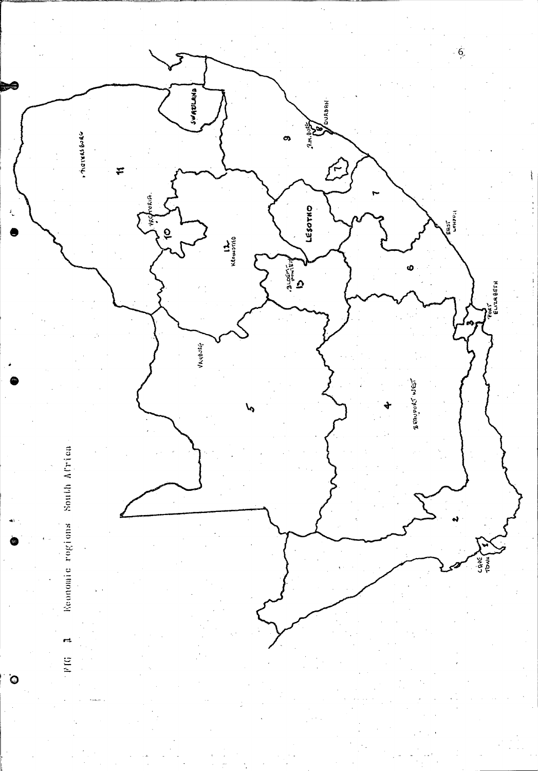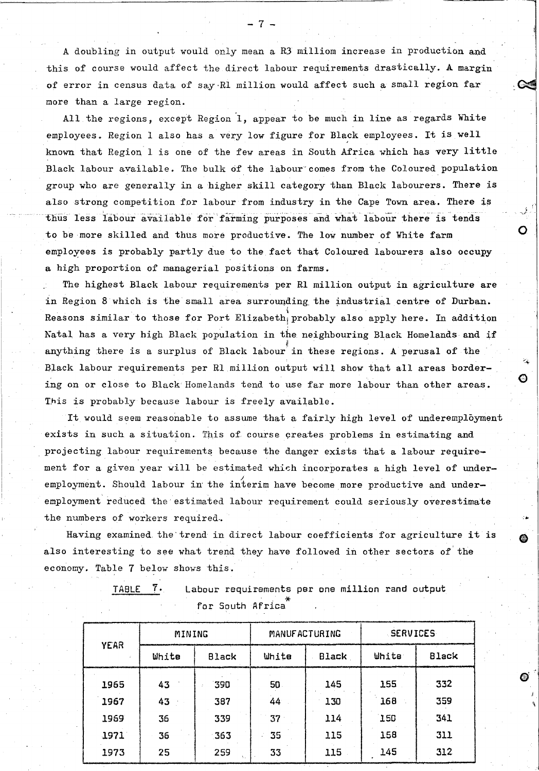A doubling in output would only mean a R3 milliom increase in production and this of course would affect the direct labour requirements drastically. A margin of error in census data of say-RI million would affect such a small region far more than a large region.

All the regions, except Region 1, appear to be much in line as regards White employees. Region 1 also has a very low figure for Black employees. It is well known that Region 1 is one of the few areas in South Africa which has very little Black labour available. The bulk of the labour comes from the Coloured population group who are generally in a higher skill category than Black labourers. There is also strong competition for labour from industry in the Cape Town area. There is thus less labour available for farming purposes and what labour there is tends to be more skilled and thus more productive. The low number of White farm employees is probably partly due to the fact that Coloured labourers also occupy a high proportion of managerial positions on farms.

o

o

'\

The highest Black labour requirements per RI million output in agriculture are in Region 8 which is the small area surrounding the industrial centre of Durban. Reasons similar to those for Port Elizabeth<sub>|</sub> probably also apply here. In addition Natal has a very high Black population in the neighbouring Black Homelands and if ne neighbouring bi anything there is a surplus of Black labour in these regions. A perusal of the Black labour requirements per RI million output will show that all areas bordering on or close to Black Homelands tend to use far more labour than other areas. This is probably because labour is freely available.

It would seem reasonable to assume that a fairly high level of underemployment exists in such a situation. This of course creates problems in estimating and projecting labour requirements because the danger exists that a labour requirement for a given year will be estimated which incorporates a high level of underemployment. Should labour in the interim have become more productive and underemployment reduced the estimated labour requirement could seriously overestimate the numbers of workers required.

Having examined the trend in direct labour coefficients for agriculture it is also interesting to see what trend they have followed in other sectors of'the economy. Table 7 below shows this.

| д | яL |  |
|---|----|--|
|   |    |  |

 $7.$  Labour requirements per one million rand output for South Africa<sup>"</sup>

|             | MINING |       |       | MANUFACTURING | <b>SERVICES</b> |              |
|-------------|--------|-------|-------|---------------|-----------------|--------------|
| <b>YEAR</b> | White  | Black | White | Black         | White           | <b>Black</b> |
| 1965        | 43     | 390   | 50    | 145           | 155             | 332          |
| 1967        | 43     | 387   | 44    | 130           | 168             | 359          |
| 1969        | 36     | 339   | 37    | 114           | 150             | 341          |
| 1971        | 36     | 363   | 35    | 115           | 158             | 311          |
| 1973        | 25     | 259   | 33    | 115           | 145             | 312          |

- 7 -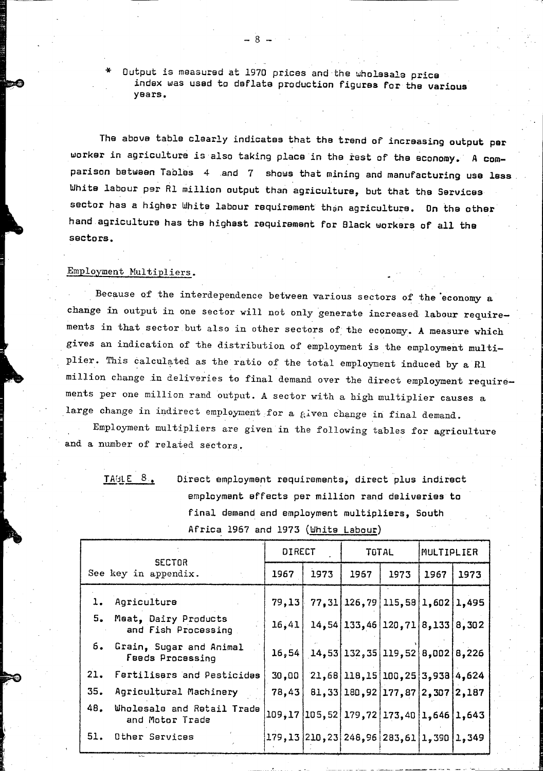Output is measured at 1970 prices and the wholesale price index was used to deflate production figures for the various years.

- .:,"

The above table clearly indicates that the trend of increasing output per worker *in* agriculture is also taking place *in* the rest of the economy. A comparison between Tables 4 and 7 shows that *mining* and manufacturing use less. White labour par Rl *million* output than agriculture, but that the Services sector has a higher White labour requirement than agriculture. On the other hand agriculture has the highest requirement for Black workers of all the sectors.

# Employment Nultipliers.

Because of the interdependence between various sectors of the economy a change in output in one sector will not only generate increased labour requirements in that sector but also in other sectors of the economy. A measure which gives an indication of the distribution of employment is the employment multiplier. This calculated as the ratio of the total employment induced by a Rl million change in deliveries to final demand over the direct employment requirements per one million rand output. A sector with a high multiplier causes a large change in indirect employment for a given change in final demand.

Employment multipliers are given in the following tables for agriculture and a number of related sectors.

TABLE  $8.$  Direct employment requirements, direct plus indirect employment effects per million rand deliveries to final demand and employment multipliers, South Africa 1967 and 1973 (White Labour)

| <b>SECTOR</b> |                                                | <b>DIRECT</b> |      | TOTAL                                                   |      | MULTIPLIER |      |
|---------------|------------------------------------------------|---------------|------|---------------------------------------------------------|------|------------|------|
|               | See key in appendix.                           | 1967          | 1973 | 1967                                                    | 1973 | 1967       | 1973 |
|               | 1. Agriculture                                 | 79,13         |      | $77, 31$ 126, 79 115, 58 1, 602 1, 495                  |      |            |      |
|               | 5. Meat, Dairy Products<br>and Fish Processing | 16,41         |      | $14, 54$ 133, 46 120, 71 8, 133 8, 302                  |      |            |      |
|               | 6. Grain, Sugar and Animal<br>Feeds Processing |               |      | $16, 54$ $14, 53$ $132, 35$ $119, 52$ $8, 002$ $8, 226$ |      |            |      |
|               | 21. Fertilisers and Pesticides                 | 30,00         |      | $21,68$   118, 15  100, 25  3, 938  4, 624              |      |            |      |
| 35.           | Agricultural Machinery                         | 78,43         |      | 81,33 180,92 177,87 2,307 2,187                         |      |            |      |
| 48.           | Wholesale and Retail Trade<br>and Motor Trade  |               |      | 109, 17 105, 52 179, 72 173, 40 1, 646 1, 643           |      |            |      |
|               | 51. Other Services                             |               |      | $ 179,13 210,23 246,96 283,61 1,390 1,349$              |      |            |      |
|               |                                                |               |      |                                                         |      |            |      |

- 8 -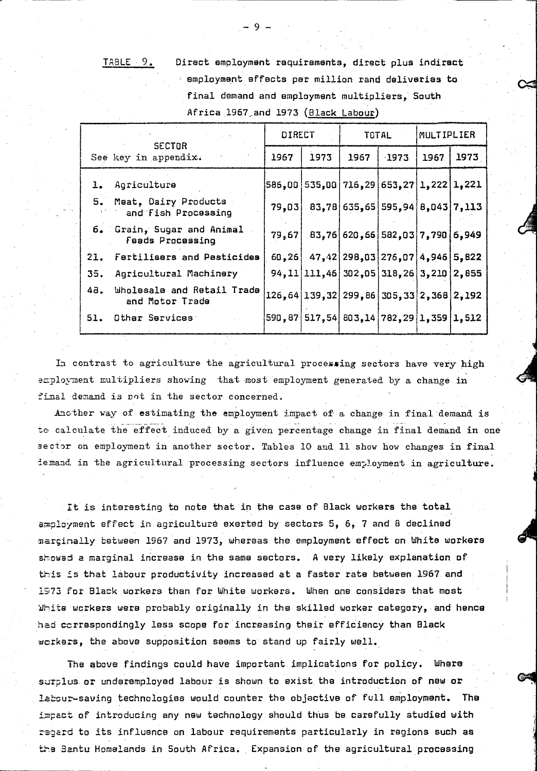TABLE 9. Direct employment requirements, direct plus indirect employment effects per million rand deliveries to final demand and employment multipliers, South Africa 1967 and 1973 (Black Labour)

|  |                                                       | <b>DIRECT</b> |                                               |      | TOTAL                             | MULTIPLIER |      |
|--|-------------------------------------------------------|---------------|-----------------------------------------------|------|-----------------------------------|------------|------|
|  | <b>SECTOR</b><br>See key in appendix.                 | 1967          | 1973                                          | 1967 | $-1973$                           | 1967       | 1973 |
|  | 1. Agriculture                                        |               | 586,00 535,00 716,29 653,27 1,222 1,221       |      |                                   |            |      |
|  | 5. Meat, Dairy Products<br>and Fish Processing        | 79,03         |                                               |      | $83,78$ 635,65 595,94 8,043 7,113 |            |      |
|  | 6. Grain, Sugar and Animal<br><b>Feads Processing</b> | 79,67         |                                               |      | 83,76 620,66 582,03 7,790 6,949   |            |      |
|  | 21. Fertilisers and Pesticides                        |               | 60,26 47,42 298,03 276,07 4,946 5,822         |      |                                   |            |      |
|  | 35. Agricultural Machinery                            |               | 94, 11 111, 46 302, 05 318, 26 3, 210 2, 855  |      |                                   |            |      |
|  | 48. Wholesale and Retail Trade<br>and Motor Trade     |               | 126, 64 139, 32 299, 86 305, 33 2, 368 2, 192 |      |                                   |            |      |
|  | 51. Other Services                                    |               | 590, 87 517, 54 803, 14 782, 29 1, 359 1, 512 |      |                                   |            |      |

In contrast to agriculture the agricultural processing sectors have very high employment multipliers showing that most employment generated by a change in final demand is not in the sector concerned.

Another way of estimating the employment impact of a change in final demand is to calculate the effect induced by a given percentage change in final demand in one sector on employment in another sector. Tables 10 and 11 show how changes in final iemand. in the agricultural processing sectors influence em?loyment in agriculture.

It is interesting to note that in the case of Black workers the total  $a_{m}$ ployment effect in agriculture exerted by sectors  $5, 6, 7$  and 8 declined marginally between 1967 and 1973, whereas the employment effect on White workers showed a marginal increase in the same sectors. A very likely explanation of this is that labour productivity increased at a faster rate between 1967 and 1973 for Black workers than for White workers. When one considers that most ~hita workers were probably originally *in* the skilled worker category, and hence had correspondingly less scope for increasing their efficiency than Black workers, the above supposition seems to stand up fairly well.

The above findings could have important implications for policy. Where surplus or underemployed labour is shown to exist the introduction of new or labour-saving technologies would counter the objective of full employment. The impact of introducing any new technology should thus be carefully studied with regard to its influence on labour requirements particularly in regions such as the Bantu Homelands in South Africa. Expansion of the agricultural processing

 $\mathbf Q$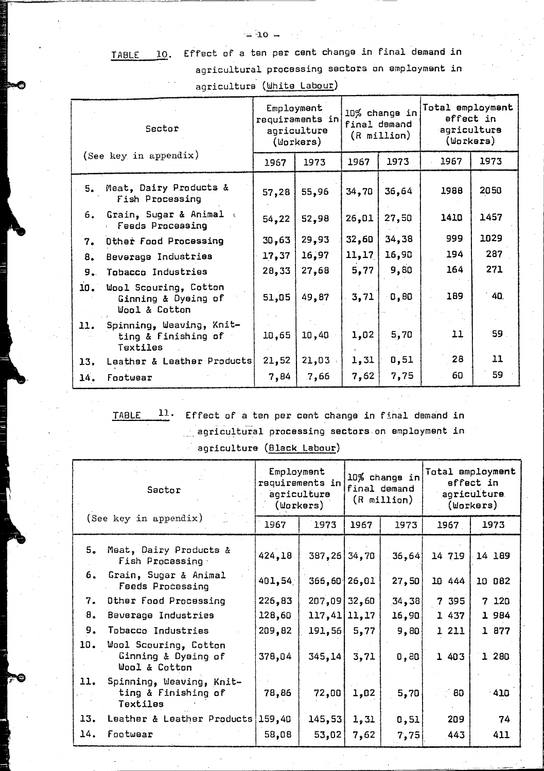# TABLE 10. Effect of a ten per cent change in final ~emand in ..;..;..;.==---- agricultural processing sectors an employment in agriculture (White Labour)

| Sector |                                                               | Employment | requiraments in<br>agriculture<br>(Workers) | 10% change in<br>final demand<br>$(R$ million) |       | Total employment<br>effect in<br>agriculture<br>(Workers) |      |
|--------|---------------------------------------------------------------|------------|---------------------------------------------|------------------------------------------------|-------|-----------------------------------------------------------|------|
|        | (See key in appendix)                                         | 1967       | 1973                                        | 1967                                           | 1973  | 1967                                                      | 1973 |
|        | 5. Meat, Dairy Products &<br>Fish Processing                  | 57,28      | 55,96                                       | 34,70                                          | 36,64 | 1988                                                      | 2050 |
| 6.     | Grain, Sugar & Animal<br><b>Feeds Processing</b>              | 54,22      | 52,98                                       | 26,01                                          | 27,50 | 1410                                                      | 1457 |
| 7.     | Other Food Processing                                         | 30,63      | 29,93                                       | 32,60                                          | 34,38 | 999                                                       | 1029 |
| 8.     | Beverage Industries                                           | 17,37      | 16,97                                       | 11, 17                                         | 16,90 | 194                                                       | 287  |
| 9.     | Tobacco Industries                                            | 28,33      | 27,68                                       | 5,77                                           | 9,80  | 164                                                       | 271  |
| 10.    | Wool Scouring, Cotton<br>Ginning & Dyeing of<br>Wool & Cotton | 51,05      | 49,87                                       | 3,71                                           | 0, 80 | 189                                                       | 40   |
| 11.    | Spinning, Weaving, Knit-<br>ting & Finishing of<br>Textiles   | 10,65      | 10,40                                       | 1,02                                           | 5,70  | 11                                                        | 59.  |
| 13.    | Leather & Leather Products                                    | 21,52      | 21,03                                       | 1,31                                           | 0, 51 | 28                                                        | 11   |
| 14.    | Footwear                                                      | 7,84       | .7,66                                       | 7,62                                           | 7,75  | 60                                                        | 59   |

TABLE 11. Effect of a ten per cent change in final demand *in*  . agricu~tural proceSSing sectors on employment *in* 

agriculture (Black Labour)

| Sactor<br>(See key in appendix) |                                                               | Employment<br>requirements in<br>agriculture<br>(Workers) |                | 10% change in<br>final demand<br>$(R$ million $)$ |          | Total employment<br>effect in<br>agriculture<br>(Workers) |        |
|---------------------------------|---------------------------------------------------------------|-----------------------------------------------------------|----------------|---------------------------------------------------|----------|-----------------------------------------------------------|--------|
|                                 |                                                               | 1967                                                      | 1973           | 1967                                              | 1973     | 1967                                                      | 1973   |
|                                 | 5. Meat, Dairy Products &<br>Fish Processing                  | 424,18                                                    | 387, 26 34, 70 |                                                   | 36,64    | 14 719                                                    | 14 189 |
| 6.                              | Grain, Sugar & Animal<br><b>Feeds Processing</b>              | 401,54                                                    | 366,60 26,01   |                                                   | 27,50    | 10 444                                                    | 10 082 |
| 7.                              | Other Food Processing                                         | 226,83                                                    | $207,09$ 32,60 |                                                   | [34, 38] | 7 395                                                     | 7 120  |
| 8.                              | Beverage Industries                                           | 128,60                                                    | 117,41 11,17   |                                                   | 16,90    | 1 437                                                     | 1 984  |
| 9.                              | Tobacco Industries                                            | 209,82                                                    | 191,56         | 5,77                                              | 9,80     | 1 211                                                     | 1 877  |
| 10.                             | Wool Scouring, Cotton<br>Ginning & Dyeing of<br>Wool & Cotton | 378,04                                                    | 345,14         | 3,71                                              | 0,80     | 1 403                                                     | 1 280  |
| 11.                             | Spinning, Weaving, Knit-<br>ting & Finishing of<br>Textiles   | 78,86                                                     | 72,00          | 1,02                                              | 5,70     | - 60                                                      | $-410$ |
| 13.                             | Leather & Leather Products                                    | 159,40                                                    | 145,53         | 1,31                                              | 0, 51    | 209                                                       | 74     |
| 14.                             | Footwear                                                      | 58,08                                                     | 53,02          | 7,62                                              | 7,75     | 443                                                       | 411    |

 $\pm 10 -$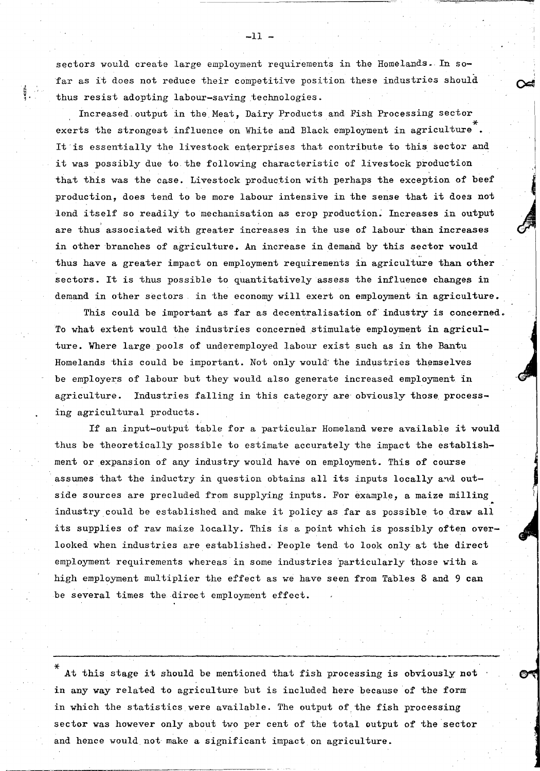sectors would create large employment requirements in the Homelands. In sofar as it does not reduce their competitive position these industries should thus resist adopting labour-saving technologies .

á<br>f  $\frac{5}{3}$  .

> Increased output in the Meat, Dairy Products and Fish Processing sector exerts the strongest influence on White and Black employment in agriculture It'is essentially the livestock enterprises that contribute to this sector and it was possibly due to the following characteristic of livestock production that this was the case. Livestock production with perhaps the exception of beef production, does tend to be more labour intensive in the sense that it does not lend itself so readily to mechanisation as crop production. Increases in output are thus associated with greater increases in the use of labour than increases in other branches of agriculture. An increase in demand by this sector would thus have a greater impact on employment requirements in agriculture than other sectors. It is thus possible to quantitatively assess the influence changes in demand in other sectors, in the economy will exert on employment in agriculture.

 $\cdot$ 

This could be important as far as decentralisation *of'* industry is concerned. To what extent would the industries concerned stimulate employment in agriculture. Where large pools of underemployed laboux exist such as in the Bantu Homelands this could be important. Not only would the industries themselves be employers of labour but they would also generate increased employment in agriculture. Industries falling in this category are obviously those processing agricultural products.

If an input-output table for a particular Homeland were available it would thus be theoretically possible to estimate accurately the impact the establishment or expansion of any industry would have on employment. This of course assumes that the inductry in question obtains all its inputs locally and outside sources are precluded from supplying inputs. For example, a maize milling industry could be established and make it policy as far as possible to draw all its supplies of raw maize locally. This is a point which is possibly often overlooked when industries are established. People tend to look only at the direct employment requirements whereas in some industries particularly those with a high employment multiplier the effect as we have seen from Tables 8 and 9 can be several times the direct employment effect.

At this stage it should be mentioned that fish processing is obviously not in any way related to agriculture but is included here because of the form in which the statistics were available. The output of the fish processing sector was however only about two per cent of the total output of the sector and hence would not make a significant impact on agriculture.

 $-11 -$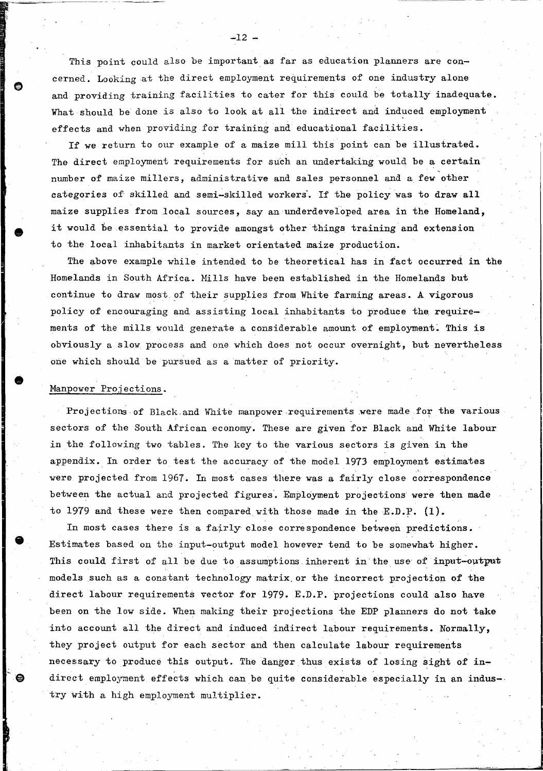This point could also be important as far as education planners are concerned. Looking at the direct employment requirements of one industry alone and providing training facilities to cater for this could be totally inadequate. What should be done is also to look at all the indirect and induced employment effects and when providing for training and educational facilities.

If we return to our example of a maize mill this point can be illustrated. The direct employment requirements for such an undertaking would be a certain , number of maize millers, administrative and sales personnel and a. few other categories of skilled and semi-skilled workers. If the policy was to draw all maize supplies from local sources, say an underdeveloped area in the Homeland, it would be essential to provide amongst other things training and extension to the local inhabitants in market orientated maize production.

The above example while intended to be theoretical has in tact occurred in the Homelands in South Africa. Mills have been established in the Homelands but continue to draw most of their supplies from White farming areas. A vigorous policy of encouraging and assisting local inhabitants to produce the requirements of the mills would generate a considerable amount of employment: This is obviously a slow process and one which does not occur overnight, but nevertheless one which should be pursued as a matter of priority.

### Manpower Projections.

•

•

Projections of Black and White manpower requirements were made for the various sectors of the South African economy. These are given for Black and White labour in the following two tables. The key to the various sectors is given in the appendix. In order to test the accuracy of the model 1973 employment estimates were projected from 1967. In most cases there was a fairly close correspondence between the actual and projected figures. Employment projections were then made to 1979 and these were then compared with those made in the E.D.P.  $(1)$ .

In most cases there is a fairly close correspondence between predictions. Estimates based on the input-output model however tend to be somewhat higher. This could first of all be due to assumptions inherent in the use of input-output models such as a constant technology matrix. or the incorrect projection of the direct labour requirements vector for 1979. E.D.P. projections could also have been on the low side. When making their projections the EDP planners do not take into account all the direct and induced indirect labour requirements. Normally, they project output for each sector and then calculate labour requirements necessary to produce this output. The danger thus exists of losing sight of indirect employment effects which can be quite considerable especially in an industry with a high employment multiplier.

---------------------------~----------------~~~--~--------~--------------~----~-... ~~~~----~~

 $-12.$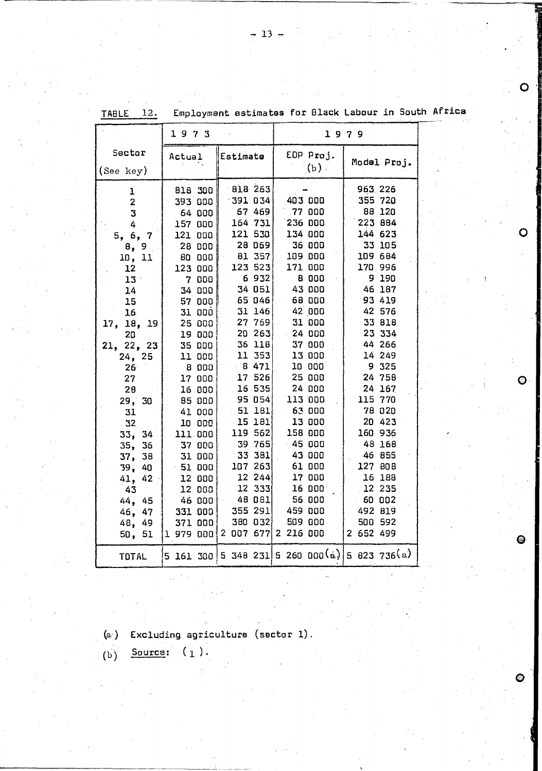|                                  | 1973      |                     | 1979                                          |             |  |
|----------------------------------|-----------|---------------------|-----------------------------------------------|-------------|--|
| Sector                           | Actual    | Estimate            | EDP Proj.<br>$(b)$ .                          | Model Proj. |  |
| (See key)                        |           |                     |                                               |             |  |
| ı                                | 818 300   | 818 263             |                                               | 963.226     |  |
| $\overline{\mathbf{z}}$          | 393 000   | $-391.034$          | 403 000                                       | 355 720     |  |
| $\overline{3}$                   | 64 000    | 67 469              | 77 000                                        | 88 120      |  |
| 4                                | 157 000   | 164 731             | 236 000                                       | 223 884     |  |
| 5, 6,<br>$\overline{\mathbf{7}}$ | 121 000   | 121530              | 134 000                                       | 144 623     |  |
| 8, 9                             | 28 000    | 28 069              | 36 000                                        | 33 105      |  |
| 10, 11                           | 80 000    | 81 357              | 109 000                                       | 109 684     |  |
| 12                               | 123 000   | 123523              | 171 000                                       | 170 996     |  |
| $13 -$                           | 7 000     | 6932                | 8 000                                         | 9 190       |  |
| 14                               | 34 000    | 34 051              | 43 000                                        | 46 187      |  |
| 15                               | 57000     | 65046               | 68 000                                        | 93 419      |  |
| 16                               | 31 000    | 31146               | 42 000                                        | 42 576      |  |
| 17, 18, 19                       | 25 000    | 27 769              | 31 000                                        | 33 818      |  |
| 20                               | 19 000    | 20263               | $-24000$                                      | 23 334      |  |
| 21, 22, 23                       | 35 000    | 36 118              | 37 000                                        | 44 266      |  |
| 24, 25                           | 11 000    | 11 353              | 13 000                                        | 14 249      |  |
| 26 <sup>°</sup>                  | 8000      | $-8471$             | 10 000                                        | 9 325       |  |
| 27                               | 17000     | 17 526              | 25 000                                        | 24 758      |  |
| 28                               | 16 000    | 16 535              | 24 000                                        | 24 167      |  |
| 29, 30                           | 85 000    | 95 054              | 113 000                                       | 115 770     |  |
| 31                               | 41 000    | $-51$ 181           | 63 000                                        | 78 020      |  |
| 32                               | 10 000    | 15 181              | 13 000                                        | 20 423      |  |
| 34<br>33,                        | 111 000   | 119 562             | 158 000                                       | 160 936     |  |
| 35, 36                           | 37 000    | 39 765              | $-45000$                                      | 48 168      |  |
| 37, 38                           | 31 000    | 33 381              | 43 000                                        | 46 855      |  |
| 39, 40                           | $-51000$  | 107 263             | 61 000                                        | 127 808     |  |
| 41, 42                           | $12$ 000  | 12 244              | 17 000                                        | 16 188      |  |
| 43                               | 12 000    | $12 \t333$          | 16 000                                        | 12 235      |  |
| 44, 45                           | 46 000    | 48 081              | 56 000                                        | 60 002      |  |
| 46, 47                           | 331 000   | 355 291             | 459 000                                       | 492 819     |  |
| 48,<br>49                        | 371 000   | 380 032             | 509 000                                       | 500 592     |  |
| 51<br>50,                        | 1 979 000 | 2 007 677 2 216 000 |                                               | 2 652 499   |  |
| <b>TOTAL</b>                     |           |                     | 5 161 300 5 348 231 5 260 000(a) 5 823 736(a) |             |  |

estimates for Black Labour in South Africa **TABLE**  $12.$ Employment

∩

O

 $\mathbf{\Theta}$ 

Q

⊜

 $(a)$ Excluding agriculture (sector 1).

Source:  $(1)$ .  $\overline{(\mathbf{b})}$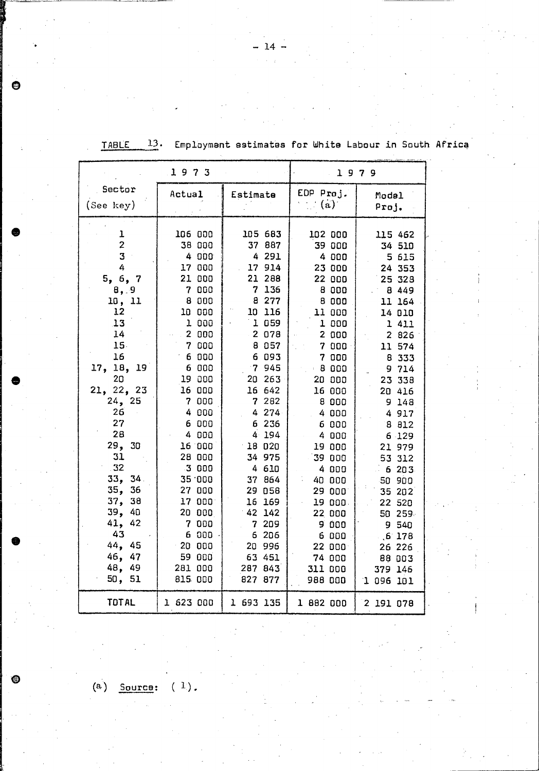|   |                         | 1973                  |                  | 1979             |                  |  |
|---|-------------------------|-----------------------|------------------|------------------|------------------|--|
|   | Sector                  | Actual                | Estimate         | EDP Proj.        | Modal            |  |
|   | (See key)               |                       |                  | (a)              | Proj.            |  |
|   |                         |                       |                  |                  |                  |  |
|   | ı                       | 106 000               | 105 683          | 102 000          | 115 462          |  |
|   | $\overline{\mathbf{c}}$ | 38 000                | 37 887           | 39 000           | 34 510           |  |
|   | 3                       | 4 000                 | 4 291            | 4 000            | 5 615            |  |
|   | 4                       | 17 000                | 17 914           | 23 000           | 24 353           |  |
|   | 5, 6, 7                 | 21 000                | 21 288           | 22 000           | 25 328           |  |
|   | 8, 9                    | 7 <sup>1</sup><br>000 | 7 136            | 8 000            | 8 4 4 9          |  |
|   | 10, 11                  | 8 000                 | 8 277            | 8 000            | 11 164           |  |
|   | 12<br>13                | 10 000<br>1 000       | 10 116<br>1 059  | 11 000<br>1 000  | 14 010           |  |
|   | 14                      | 2 000                 | 2 0 7 8          | 2 000            | 1 4 1 1<br>2 826 |  |
|   | 15.                     | 7 000                 | 8 0 5 7          | 7000             | 11 574           |  |
|   | 16                      | 6 000                 | 6 093            | 7 000            | 8 333            |  |
|   | 17,<br>18,<br>19        | 6 000                 | 7945             | 8 000            | 9 714            |  |
| ● | 20                      | 19 000                | 20 263           | 20 000           | 23 338           |  |
|   | 21, 22, 23              | 16 000                | 16 642           | 16 000           | 20 416           |  |
|   | 24, 25                  | 7 000                 | 7 282            | 8 000            | 9 148            |  |
|   | 26                      | 4 000                 | 4 274            | 4 000            | 4 917            |  |
|   | 27                      | 6 000                 | 6 236            | 6 000            | 8 812            |  |
|   | 28                      | 4 000                 | 4 194            | 4 000            | 6 129            |  |
|   | 29,<br>30               | 16 000                | 18020            | 19 000           | 21 979           |  |
|   | 31<br>32                | 28 000                | 34 975           | 39 000           | 53 312           |  |
|   | 33,<br>34.              | .3000<br>35.000       | 4 610            | 4 000            | 6 203            |  |
|   | 35,<br>36               | 27 000                | 37 864<br>29 058 | 40 000<br>29 000 | 50 900           |  |
|   | 37,<br>38               | 17000                 | 16 169           | 19 000.          | 35 202<br>22 520 |  |
|   | 39, 40                  | 20 000                | 42 142           | 22,000           | 50 259           |  |
|   | 41, 42                  | 7 000                 | 7<br>209         | 9 000            | 9 540            |  |
|   | 43                      | 6 000                 | 6 206            | 6000             | .6178            |  |
|   | 44, 45                  | $-20$ 000             | 20 996           | 22 000           | 26 226           |  |
|   | 46, 47                  | 59 000                | 63 451           | 74 000           | 88 003           |  |
|   | 48, 49                  | 281 000               | 287 843          | 311 000          | 379 146          |  |
|   | 50, 51                  | 815 000               | 827 877          | 988 000          | 1 096 101        |  |
|   | <b>TOTAL</b>            | 1 623 000             | 1 693 135        | 1 882 000        |                  |  |
|   |                         |                       |                  |                  | 2 191 078        |  |

TABLE 13. Employment estimates for White Labour in South Africa

(a) Source:  $(1)$ .

 $\bigcirc$ 

⊜

 $\cdot$   $-14$  -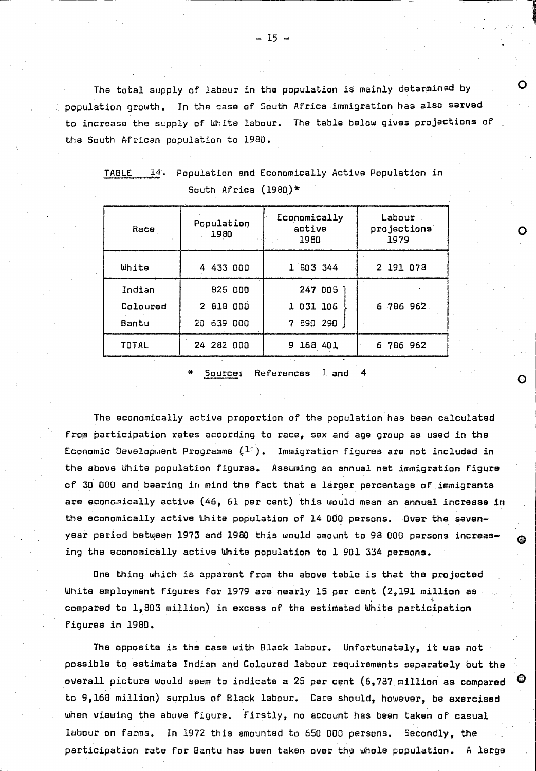The total supply of labour in the population is mainly determined by population growth. In the case of South Africa immigration has also served to increase the supply of White labour. The table below gives projections of the South African population to 1980 •

| Race.                                                                         | Population<br>1980 | Economically<br>active<br>-1980 | Labour<br>projections<br>1979 |  |  |  |
|-------------------------------------------------------------------------------|--------------------|---------------------------------|-------------------------------|--|--|--|
| White                                                                         | 4 433 000          | 1 803 344                       | 2 191 078                     |  |  |  |
| Indian                                                                        | 825 000            | 247 005 1                       |                               |  |  |  |
| Coloured                                                                      | 2 818 000          | 1 031 106                       | 6 786 962                     |  |  |  |
| Bantu                                                                         | 20 639 000         | 7 890 290                       |                               |  |  |  |
| <b>TOTAL</b>                                                                  | 24 282 000         | 9 168 401                       | 6 786 962                     |  |  |  |
| $\mathbf{1}$ and $\mathbf{1}$<br>- 14<br><b>D</b> - <b>D</b> -<br><b>P.L.</b> |                    |                                 |                               |  |  |  |

TABLE 14. Population and Economically Active Population in South Africa  $(1980)*$ 

Source: References 1 and

The economically active proportion of the population has been calculated from participation rates according to race, sex and age group as used in the Economic Development Programme  $(1^*)$ . Immigration figures are not included in the above White population figures. Assuming an annual net immigration figure of 30 000 and bearing in mind the fact that a larger percentage of immigrants are economically active (46, 61 per cent) this would mean an annual increase In the economically active White population of 14 000 persons. Over the sevenyear period between 1973 and 1980 this would amount to 98 000 parsons increasing the economically active White population to 1 901 334 persons.

One thing which is apparent from the, above table is that the projected White employment figures for *1979* ara nearly 15 per cent (2,191 million as  $\cdot$  -i,  $\cdot$  -i,  $\cdot$ compared to 1,803 million) in excess of the estimated White participation figures *in 1980.* 

The opposite is the case with Black labour. Unfortunately, it was not possible to estimate Indian and Coloured labour requirements separately but the overall picture would seem to indicate a 25 per cent  $(6,787$  million as compared  $\bullet$ to 9,168 million) surplus of Black labour. Care should, however, be exercised when viewing the above figure. Firstly, no account has been taken of casual labour on farms. In 1972 this amounted to 650 000 persons. Secondly, the participation rate for Bantu has been taken over the whole population. A large

o

, !

1<br>1

o

o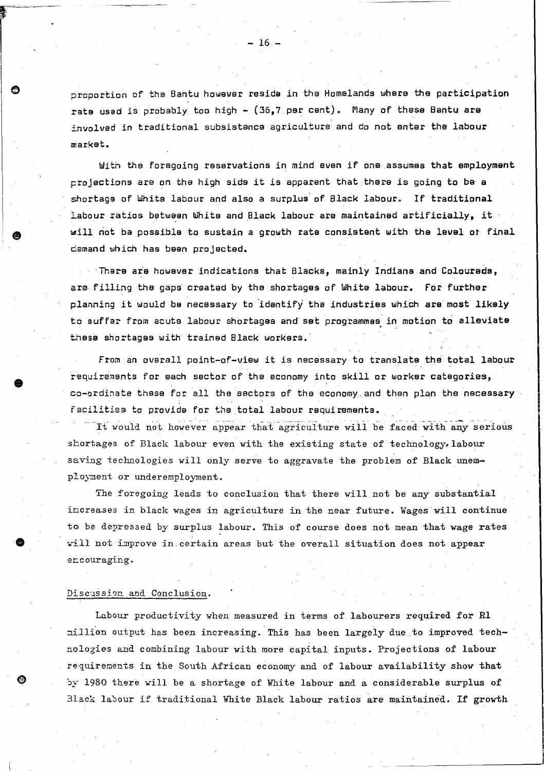proportion of the Bantu however reside *in* the Homelands where the participation rate used is probably too high - (36,7 per cent). Many of these Bantu are involved in traditional subsistence agriculture and do not enter the labour market.

With the foregoing reservations in mind even *if* one assumes that employment projections are on the high side it is apparent that ,there is going to be a shortage of White labour and also a surplus' of Black labour. If traditional Labour ratios between White and Black labour are maintained artificially, it will not ba possible to sustain a growth rate consistent with the level ot *final*  demand which has been projected.

There are however indications that Blacks, mainly Indians and Coloureds, are filling the gaps created by the shortages of White labour. for further planning it would be necessary to 'identiFy' the industries which are most likely to suffar from acuta labour shortages and' set programmes *in* motion to alleviate . .. these shortages with trained Black workers.'

From an overall point-of-view it is necessary to translate the total labour requirements for each sector of the economy into skill or worker categories, co-ordinate these for all the sectors of the economy and then plan the necessary facilities to provide for the total labour requi rements.

It would not however appear that agriculture will be faced with any serious shortages of Black labour even with the existing state of technology, labour saving technologies will only serve to aggravate the problem of Black unemployment or underemployment.

The foregoing leads to conclusion that there will not be any substantial increases in black wages in agriculture in the near future. Wages will continue to be depressed by surplus labour. This of course does not mean that wage rates will not improve in certain areas but the overall situation does not appear encouraging.

#### Discussion and Conclusion.

•

**e** 

Labour productivity when measured in terms of labourers required for Rl million output has been increasing. This has been largely due to improved technologies and combining labour with more capital inputs. Projections of labour requirements in the South African economy and of labour availability show that by 1980 there will be a shortage of White labour and a considerable surplus of Black labour *if traditional White Black labour ratios are maintained. If growth*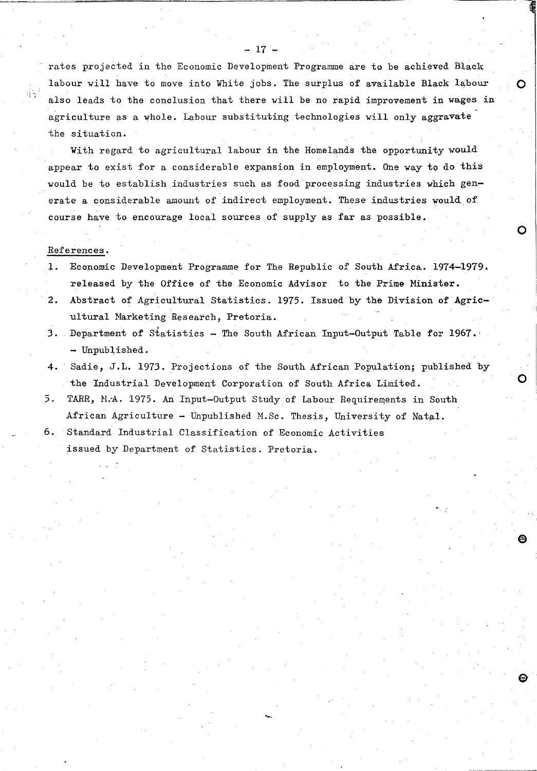rates projected in the Economic Development Programme are to be achieved Black labour will have to move into White jobs. The surplus of available Black labour  $\bigcirc$ also leads to the conclusion that there will be no rapid improvement in wages in agriculture as a whole. Labour substituting technologies will only aggravate the situation.

 $-17 -$ 

With regard to agricultural labour in the Homelands the opportunity would appear to exist for a considerable expansion in employment. One way to do this would be to establish industries such as food'processing industries which generate a considerable amount of indirect employment. These industries would of course have to encourage local sources of supply as far as possible.

#### References.

,',  $^{\prime}$  ,

> 1. ECOnomic Development Programme for The Republic of South Africa. 1974-1979. released by the Office of the Economic Advisor to the Prime Minister.

 $\bullet$ 

o

- 2. Abstract of Agricultural Statistics. 1975. Issued by the Division of Agricultural Narketing Research, Pretoria.
- 3. Department of Statistics The South African Input-Output Table for 1967. - Unpublished.
- 4. Sadie, J.L. 1973. Projections of the South African Population; published by the Industrial Development Corporation of South Africa Limited.

.....

- 5. TARR, M.A. 1975. An Input-Output Study of Labour Requirements in South African Agriculture - Unpublished M.Sc. Thesis, University of Natal.
- 6. Standard Industrial Classification of Economic Activities issued by Department of Statistics. Pretoria .